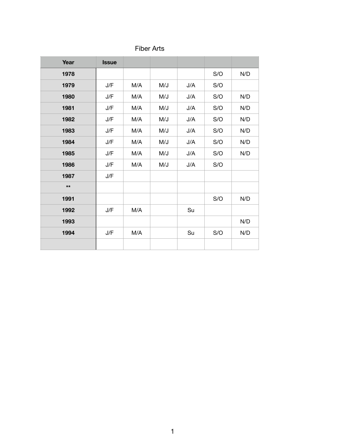| <b>Fiber Arts</b> |  |
|-------------------|--|
|-------------------|--|

| Year  | <b>Issue</b> |     |     |     |     |     |
|-------|--------------|-----|-----|-----|-----|-----|
| 1978  |              |     |     |     | S/O | N/D |
| 1979  | J/F          | M/A | M/J | J/A | S/O |     |
| 1980  | J/F          | M/A | M/J | J/A | S/O | N/D |
| 1981  | J/F          | M/A | M/J | J/A | S/O | N/D |
| 1982  | J/F          | M/A | M/J | J/A | S/O | N/D |
| 1983  | J/F          | M/A | M/J | J/A | S/O | N/D |
| 1984  | J/F          | M/A | M/J | J/A | S/O | N/D |
| 1985  | J/F          | M/A | M/J | J/A | S/O | N/D |
| 1986  | J/F          | M/A | M/J | J/A | S/O |     |
| 1987  | J/F          |     |     |     |     |     |
| $***$ |              |     |     |     |     |     |
| 1991  |              |     |     |     | S/O | N/D |
| 1992  | J/F          | M/A |     | Su  |     |     |
| 1993  |              |     |     |     |     | N/D |
| 1994  | J/F          | M/A |     | Su  | S/O | N/D |
|       |              |     |     |     |     |     |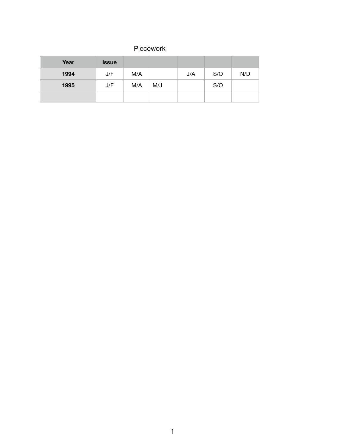## Piecework

| Year | <b>Issue</b> |     |     |     |     |     |
|------|--------------|-----|-----|-----|-----|-----|
| 1994 | J/F          | M/A |     | J/A | S/O | N/D |
| 1995 | J/F          | M/A | M/J |     | S/O |     |
|      |              |     |     |     |     |     |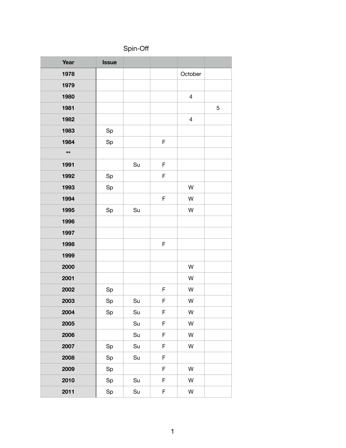|  | Spin-Off |  |
|--|----------|--|
|  |          |  |

| Year         | <b>Issue</b>                          |    |             |                          |   |
|--------------|---------------------------------------|----|-------------|--------------------------|---|
| 1978         |                                       |    |             | October                  |   |
| 1979         |                                       |    |             |                          |   |
| 1980         |                                       |    |             | $\overline{4}$           |   |
| 1981         |                                       |    |             |                          | 5 |
| 1982         |                                       |    |             | $\overline{\mathcal{A}}$ |   |
| 1983         | $\operatorname{\mathsf{Sp}}\nolimits$ |    |             |                          |   |
| 1984         | Sp                                    |    | F           |                          |   |
| $\star\star$ |                                       |    |             |                          |   |
| 1991         |                                       | Su | F           |                          |   |
| 1992         | Sp                                    |    | F           |                          |   |
| 1993         | Sp                                    |    |             | W                        |   |
| 1994         |                                       |    | $\mathsf F$ | W                        |   |
| 1995         | Sp                                    | Su |             | W                        |   |
| 1996         |                                       |    |             |                          |   |
| 1997         |                                       |    |             |                          |   |
| 1998         |                                       |    | F           |                          |   |
| 1999         |                                       |    |             |                          |   |
| 2000         |                                       |    |             | W                        |   |
| 2001         |                                       |    |             | W                        |   |
| 2002         | Sp                                    |    | F           | W                        |   |
| 2003         | Sp                                    | Su | F           | W                        |   |
| 2004         | Sp                                    | Su | F           | W                        |   |
| 2005         |                                       | Su | F           | W                        |   |
| 2006         |                                       | Su | F           | W                        |   |
| 2007         | Sp                                    | Su | F           | W                        |   |
| 2008         | Sp                                    | Su | F           |                          |   |
| 2009         | Sp                                    |    | F           | W                        |   |
| 2010         | Sp                                    | Su | F           | W                        |   |
| 2011         | Sp                                    | Su | F           | W                        |   |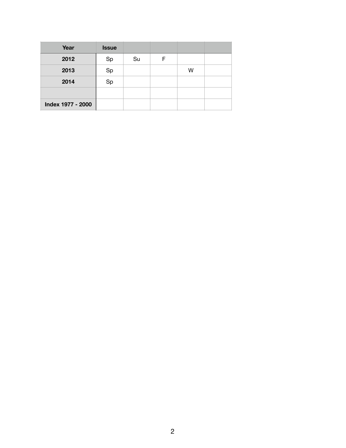| Year              | <b>Issue</b> |    |   |   |  |
|-------------------|--------------|----|---|---|--|
| 2012              | Sp           | Su | F |   |  |
| 2013              | Sp           |    |   | W |  |
| 2014              | Sp           |    |   |   |  |
|                   |              |    |   |   |  |
| Index 1977 - 2000 |              |    |   |   |  |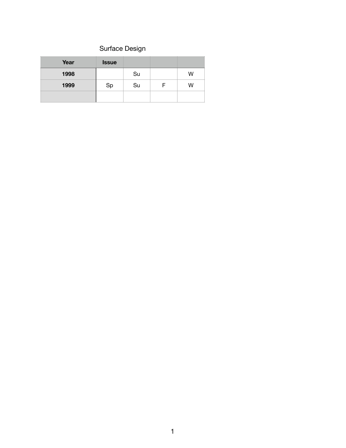## Surface Design

| Year | <b>Issue</b> |    |   |
|------|--------------|----|---|
| 1998 |              | Su | W |
| 1999 | Sp           | Su | W |
|      |              |    |   |